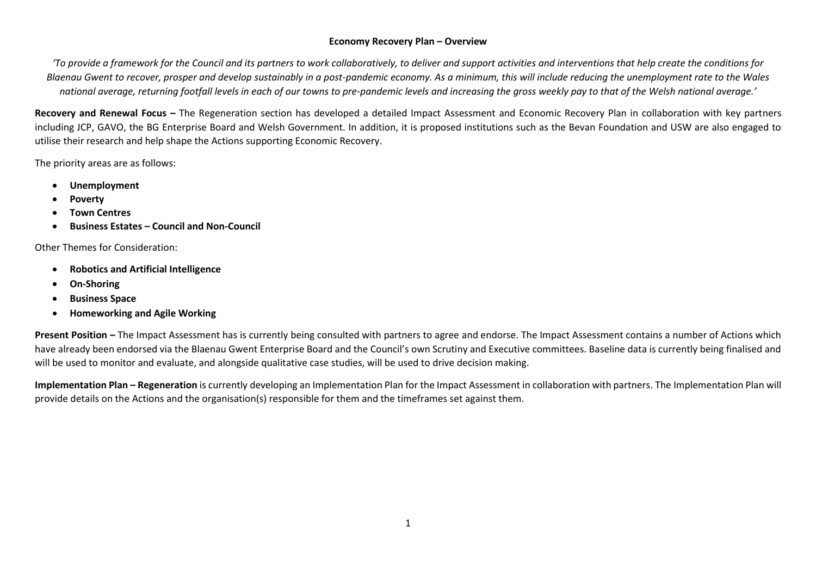## **Economy Recovery Plan – Overview**

*'To provide a framework for the Council and its partners to work collaboratively, to deliver and support activities and interventions that help create the conditions for Blaenau Gwent to recover, prosper and develop sustainably in a post-pandemic economy. As a minimum, this will include reducing the unemployment rate to the Wales national average, returning footfall levels in each of our towns to pre-pandemic levels and increasing the gross weekly pay to that of the Welsh national average.'*

**Recovery and Renewal Focus –** The Regeneration section has developed a detailed Impact Assessment and Economic Recovery Plan in collaboration with key partners including JCP, GAVO, the BG Enterprise Board and Welsh Government. In addition, it is proposed institutions such as the Bevan Foundation and USW are also engaged to utilise their research and help shape the Actions supporting Economic Recovery.

The priority areas are as follows:

- **Unemployment**
- **Poverty**
- **Town Centres**
- **Business Estates – Council and Non-Council**

Other Themes for Consideration:

- **Robotics and Artificial Intelligence**
- **On-Shoring**
- **Business Space**
- **Homeworking and Agile Working**

**Present Position –** The Impact Assessment has is currently being consulted with partners to agree and endorse. The Impact Assessment contains a number of Actions which have already been endorsed via the Blaenau Gwent Enterprise Board and the Council's own Scrutiny and Executive committees. Baseline data is currently being finalised and will be used to monitor and evaluate, and alongside qualitative case studies, will be used to drive decision making.

**Implementation Plan – Regeneration** is currently developing an Implementation Plan for the Impact Assessment in collaboration with partners. The Implementation Plan will provide details on the Actions and the organisation(s) responsible for them and the timeframes set against them.